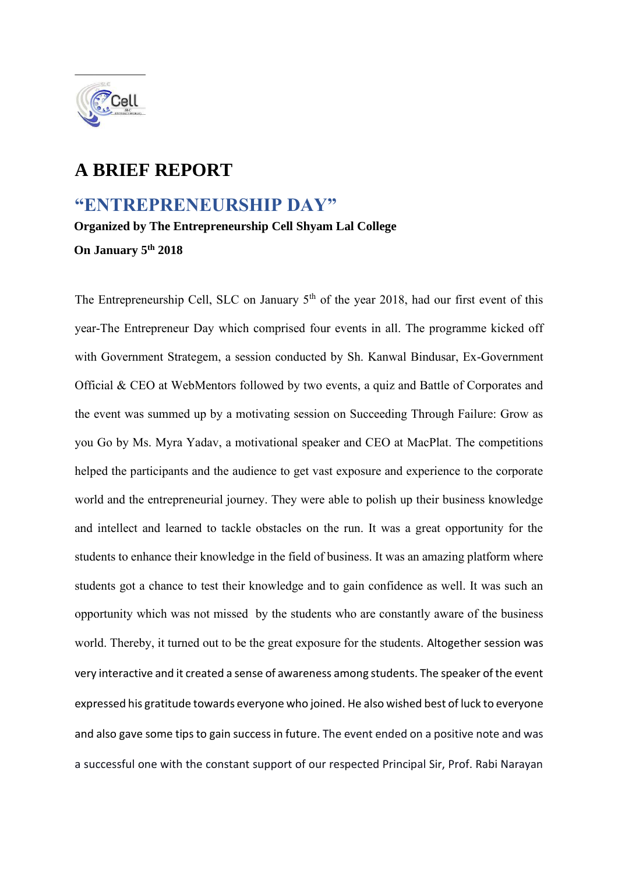

## **A BRIEF REPORT**

## **"ENTREPRENEURSHIP DAY"**

**Organized by The Entrepreneurship Cell Shyam Lal College** 

**On January 5th 2018** 

The Entrepreneurship Cell, SLC on January 5<sup>th</sup> of the year 2018, had our first event of this year-The Entrepreneur Day which comprised four events in all. The programme kicked off with Government Strategem, a session conducted by Sh. Kanwal Bindusar, Ex-Government Official & CEO at WebMentors followed by two events, a quiz and Battle of Corporates and the event was summed up by a motivating session on Succeeding Through Failure: Grow as you Go by Ms. Myra Yadav, a motivational speaker and CEO at MacPlat. The competitions helped the participants and the audience to get vast exposure and experience to the corporate world and the entrepreneurial journey. They were able to polish up their business knowledge and intellect and learned to tackle obstacles on the run. It was a great opportunity for the students to enhance their knowledge in the field of business. It was an amazing platform where students got a chance to test their knowledge and to gain confidence as well. It was such an opportunity which was not missed by the students who are constantly aware of the business world. Thereby, it turned out to be the great exposure for the students. Altogether session was very interactive and it created a sense of awareness among students. The speaker of the event expressed his gratitude towards everyone who joined. He also wished best of luck to everyone and also gave some tips to gain success in future. The event ended on a positive note and was a successful one with the constant support of our respected Principal Sir, Prof. Rabi Narayan